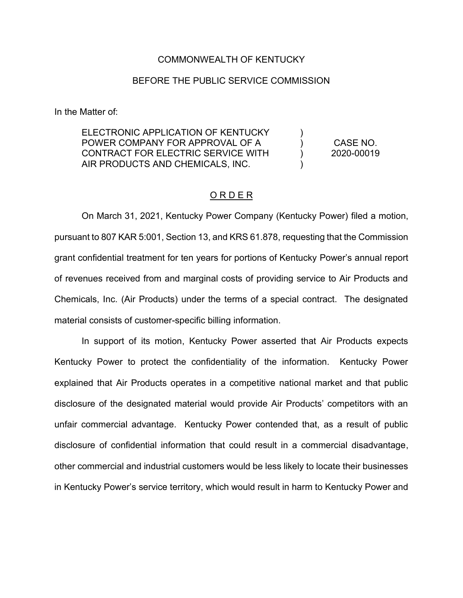## COMMONWEALTH OF KENTUCKY

## BEFORE THE PUBLIC SERVICE COMMISSION

In the Matter of:

ELECTRONIC APPLICATION OF KENTUCKY POWER COMPANY FOR APPROVAL OF A CONTRACT FOR ELECTRIC SERVICE WITH AIR PRODUCTS AND CHEMICALS, INC. )  $\lambda$  $\lambda$ )

CASE NO. 2020-00019

## O R D E R

On March 31, 2021, Kentucky Power Company (Kentucky Power) filed a motion, pursuant to 807 KAR 5:001, Section 13, and KRS 61.878, requesting that the Commission grant confidential treatment for ten years for portions of Kentucky Power's annual report of revenues received from and marginal costs of providing service to Air Products and Chemicals, Inc. (Air Products) under the terms of a special contract. The designated material consists of customer-specific billing information.

In support of its motion, Kentucky Power asserted that Air Products expects Kentucky Power to protect the confidentiality of the information. Kentucky Power explained that Air Products operates in a competitive national market and that public disclosure of the designated material would provide Air Products' competitors with an unfair commercial advantage. Kentucky Power contended that, as a result of public disclosure of confidential information that could result in a commercial disadvantage, other commercial and industrial customers would be less likely to locate their businesses in Kentucky Power's service territory, which would result in harm to Kentucky Power and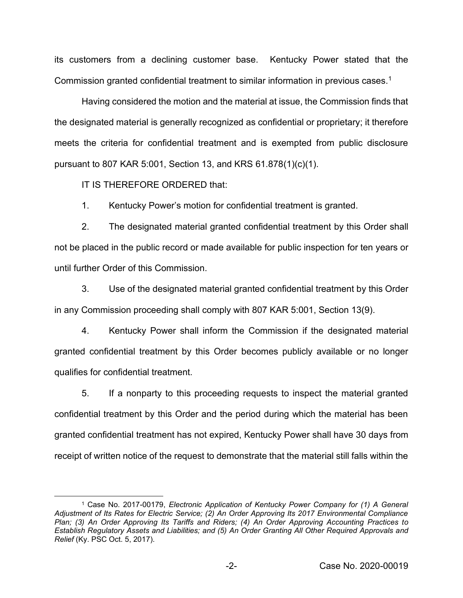its customers from a declining customer base. Kentucky Power stated that the Commission granted confidential treatment to similar information in previous cases.<sup>1</sup>

Having considered the motion and the material at issue, the Commission finds that the designated material is generally recognized as confidential or proprietary; it therefore meets the criteria for confidential treatment and is exempted from public disclosure pursuant to 807 KAR 5:001, Section 13, and KRS 61.878(1)(c)(1).

IT IS THEREFORE ORDERED that:

1. Kentucky Power's motion for confidential treatment is granted.

2. The designated material granted confidential treatment by this Order shall not be placed in the public record or made available for public inspection for ten years or until further Order of this Commission.

3. Use of the designated material granted confidential treatment by this Order in any Commission proceeding shall comply with 807 KAR 5:001, Section 13(9).

4. Kentucky Power shall inform the Commission if the designated material granted confidential treatment by this Order becomes publicly available or no longer qualifies for confidential treatment.

5. If a nonparty to this proceeding requests to inspect the material granted confidential treatment by this Order and the period during which the material has been granted confidential treatment has not expired, Kentucky Power shall have 30 days from receipt of written notice of the request to demonstrate that the material still falls within the

<sup>1</sup> Case No. 2017-00179, *Electronic Application of Kentucky Power Company for (1) A General Adjustment of Its Rates for Electric Service; (2) An Order Approving Its 2017 Environmental Compliance Plan; (3) An Order Approving Its Tariffs and Riders; (4) An Order Approving Accounting Practices to Establish Regulatory Assets and Liabilities; and (5) An Order Granting All Other Required Approvals and Relief* (Ky. PSC Oct. 5, 2017).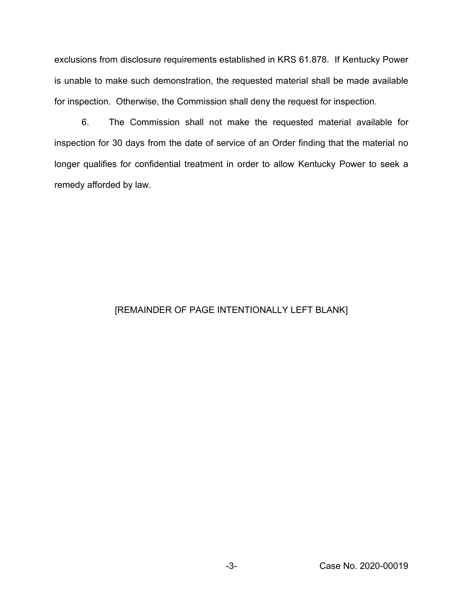exclusions from disclosure requirements established in KRS 61.878. If Kentucky Power is unable to make such demonstration, the requested material shall be made available for inspection. Otherwise, the Commission shall deny the request for inspection.

6. The Commission shall not make the requested material available for inspection for 30 days from the date of service of an Order finding that the material no longer qualifies for confidential treatment in order to allow Kentucky Power to seek a remedy afforded by law.

## [REMAINDER OF PAGE INTENTIONALLY LEFT BLANK]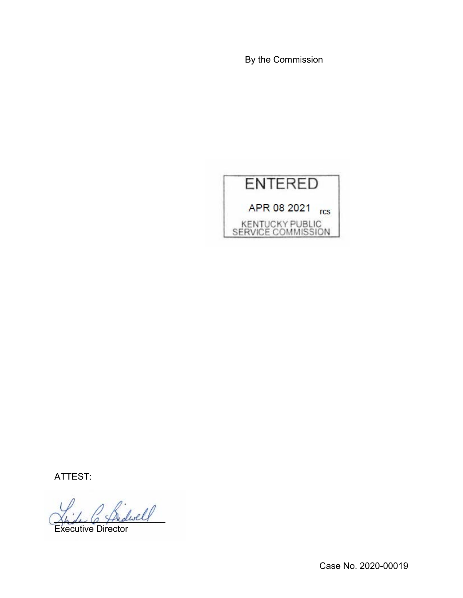By the Commission



ATTEST:

.<br>dwell

Executive Director

Case No. 2020-00019